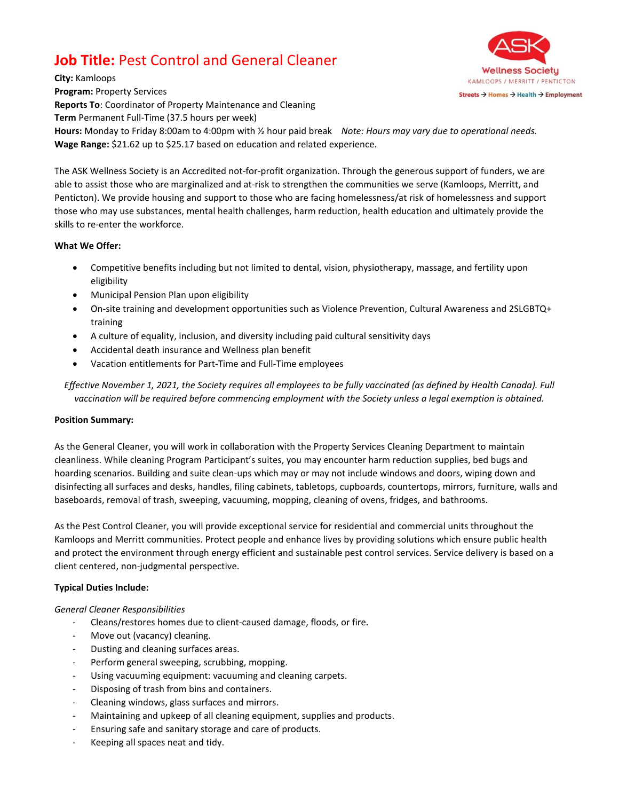# **Job Title:** Pest Control and General Cleaner



**City:** Kamloops **Program:** Property Services **Reports To**: Coordinator of Property Maintenance and Cleaning **Term** Permanent Full-Time (37.5 hours per week) **Hours:** Monday to Friday 8:00am to 4:00pm with ½ hour paid break *Note: Hours may vary due to operational needs.* **Wage Range:** \$21.62 up to \$25.17 based on education and related experience.

The ASK Wellness Society is an Accredited not-for-profit organization. Through the generous support of funders, we are able to assist those who are marginalized and at-risk to strengthen the communities we serve (Kamloops, Merritt, and Penticton). We provide housing and support to those who are facing homelessness/at risk of homelessness and support those who may use substances, mental health challenges, harm reduction, health education and ultimately provide the skills to re-enter the workforce.

### **What We Offer:**

- Competitive benefits including but not limited to dental, vision, physiotherapy, massage, and fertility upon eligibility
- Municipal Pension Plan upon eligibility
- On-site training and development opportunities such as Violence Prevention, Cultural Awareness and 2SLGBTQ+ training
- A culture of equality, inclusion, and diversity including paid cultural sensitivity days
- Accidental death insurance and Wellness plan benefit
- Vacation entitlements for Part-Time and Full-Time employees

*Effective November 1, 2021, the Society requires all employees to be fully vaccinated (as defined by Health Canada). Full vaccination will be required before commencing employment with the Society unless a legal exemption is obtained.*

### **Position Summary:**

As the General Cleaner, you will work in collaboration with the Property Services Cleaning Department to maintain cleanliness. While cleaning Program Participant's suites, you may encounter harm reduction supplies, bed bugs and hoarding scenarios. Building and suite clean-ups which may or may not include windows and doors, wiping down and disinfecting all surfaces and desks, handles, filing cabinets, tabletops, cupboards, countertops, mirrors, furniture, walls and baseboards, removal of trash, sweeping, vacuuming, mopping, cleaning of ovens, fridges, and bathrooms.

As the Pest Control Cleaner, you will provide exceptional service for residential and commercial units throughout the Kamloops and Merritt communities. Protect people and enhance lives by providing solutions which ensure public health and protect the environment through energy efficient and sustainable pest control services. Service delivery is based on a client centered, non-judgmental perspective.

### **Typical Duties Include:**

### *General Cleaner Responsibilities*

- Cleans/restores homes due to client-caused damage, floods, or fire.
- Move out (vacancy) cleaning.
- Dusting and cleaning surfaces areas.
- Perform general sweeping, scrubbing, mopping.
- Using vacuuming equipment: vacuuming and cleaning carpets.
- Disposing of trash from bins and containers.
- Cleaning windows, glass surfaces and mirrors.
- Maintaining and upkeep of all cleaning equipment, supplies and products.
- Ensuring safe and sanitary storage and care of products.
- Keeping all spaces neat and tidy.